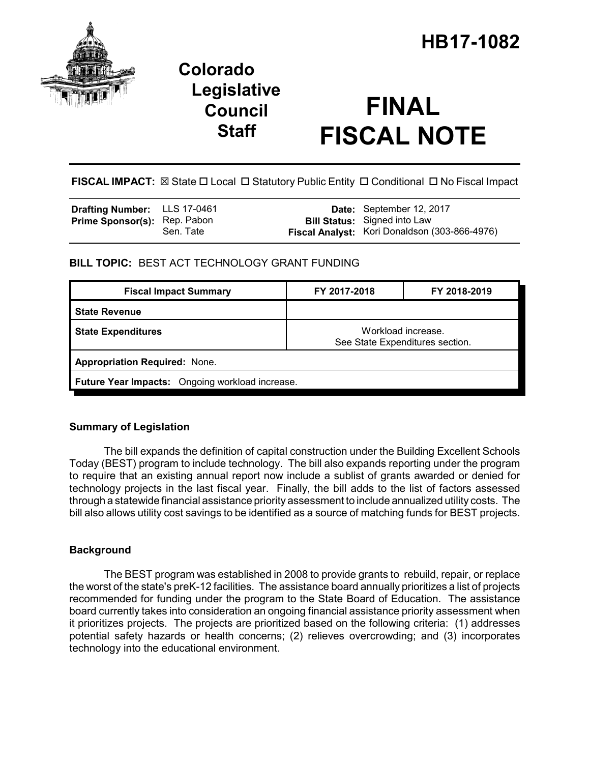

# **Colorado Legislative Council Staff**

# **FINAL FISCAL NOTE**

FISCAL IMPACT:  $\boxtimes$  State  $\Box$  Local  $\Box$  Statutory Public Entity  $\Box$  Conditional  $\Box$  No Fiscal Impact

| Drafting Number: LLS 17-0461        |           | Date: September 12, 2017                      |
|-------------------------------------|-----------|-----------------------------------------------|
| <b>Prime Sponsor(s): Rep. Pabon</b> |           | <b>Bill Status:</b> Signed into Law           |
|                                     | Sen. Tate | Fiscal Analyst: Kori Donaldson (303-866-4976) |

## **BILL TOPIC:** BEST ACT TECHNOLOGY GRANT FUNDING

| <b>Fiscal Impact Summary</b>                                                       | FY 2017-2018 | FY 2018-2019 |  |  |  |
|------------------------------------------------------------------------------------|--------------|--------------|--|--|--|
| <b>State Revenue</b>                                                               |              |              |  |  |  |
| Workload increase.<br><b>State Expenditures</b><br>See State Expenditures section. |              |              |  |  |  |
| <b>Appropriation Required: None.</b>                                               |              |              |  |  |  |
| Future Year Impacts: Ongoing workload increase.                                    |              |              |  |  |  |

# **Summary of Legislation**

The bill expands the definition of capital construction under the Building Excellent Schools Today (BEST) program to include technology. The bill also expands reporting under the program to require that an existing annual report now include a sublist of grants awarded or denied for technology projects in the last fiscal year. Finally, the bill adds to the list of factors assessed through a statewide financial assistance priority assessment to include annualized utility costs. The bill also allows utility cost savings to be identified as a source of matching funds for BEST projects.

### **Background**

The BEST program was established in 2008 to provide grants to rebuild, repair, or replace the worst of the state's preK-12 facilities. The assistance board annually prioritizes a list of projects recommended for funding under the program to the State Board of Education. The assistance board currently takes into consideration an ongoing financial assistance priority assessment when it prioritizes projects. The projects are prioritized based on the following criteria: (1) addresses potential safety hazards or health concerns; (2) relieves overcrowding; and (3) incorporates technology into the educational environment.